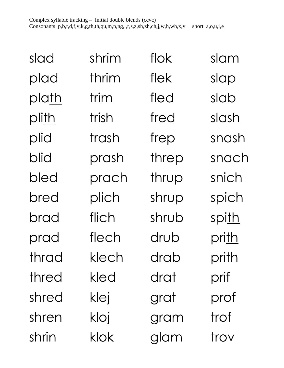| slad  | shrim | flok  | slam  |
|-------|-------|-------|-------|
| plad  | thrim | flek  | slap  |
| plath | trim  | fled  | slab  |
| plith | trish | fred  | slash |
| plid  | trash | frep  | snash |
| blid  | prash | threp | snach |
| bled  | prach | thrup | snich |
| bred  | plich | shrup | spich |
| brad  | flich | shrub | spith |
| prad  | flech | drub  | prith |
| thrad | klech | drab  | prith |
| thred | kled  | drat  | prif  |
| shred | klej  | grat  | prof  |
| shren | kloj  | gram  | trof  |
| shrin | klok  | glam  | trov  |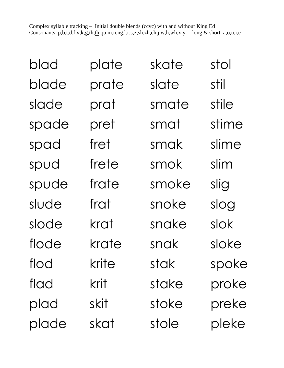| blad  | plate | skate | stol  |
|-------|-------|-------|-------|
| blade | prate | slate | stil  |
| slade | prat  | smate | stile |
| spade | pret  | smat  | stime |
| spad  | fret  | smak  | slime |
| spud  | frete | smok  | slim  |
| spude | frate | smoke | slig  |
| slude | frat  | snoke | slog  |
| slode | krat  | snake | slok  |
| flode | krate | snak  | sloke |
| flod  | krite | stak  | spoke |
| flad  | krit  | stake | proke |
| plad  | skit  | stoke | preke |
| plade | skat  | stole | pleke |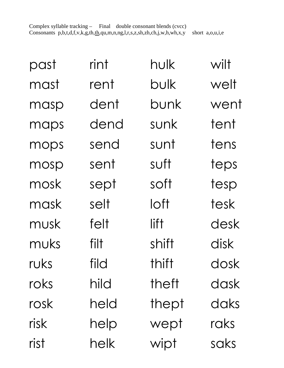| past | rint | hulk  | wilt |
|------|------|-------|------|
| mast | rent | bulk  | welt |
| masp | dent | bunk  | went |
| maps | dend | sunk  | tent |
| mops | send | sunt  | tens |
| mosp | sent | suft  | teps |
| mosk | sept | soft  | tesp |
| mask | selt | loft  | tesk |
| musk | felt | lift  | desk |
| muks | filt | shift | disk |
| ruks | fild | thift | dosk |
| roks | hild | theft | dask |
| rosk | held | thept | daks |
| risk | help | wept  | raks |
| rist | helk | wipt  | saks |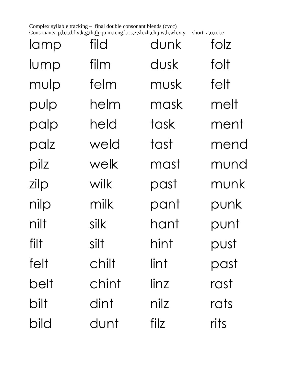Complex syllable tracking – final double consonant blends (cvcc) Consonants p,b,t,d,f,v,k,g,th,th,qu,m,n,ng,l,r,s,z,sh,zh,ch,j,w,h,wh,x,y short a,o,u,i,e

| lamp | fild  | dunk | folz |
|------|-------|------|------|
| lump | film  | dusk | folt |
| mulp | felm  | musk | felt |
| pulp | helm  | mask | melt |
| palp | held  | task | ment |
| palz | weld  | tast | mend |
| pilz | welk  | mast | mund |
| zilp | wilk  | past | munk |
| nilp | milk  | pant | punk |
| nilt | silk  | hant | punt |
| filt | silt  | hint | pust |
| felt | chilt | lint | past |
| belt | chint | linz | rast |
| bilt | dint  | nilz | rats |
| bild | dunt  | filz | rits |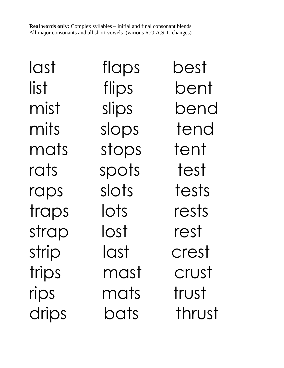**Real words only:** Complex syllables – initial and final consonant blends All major consonants and all short vowels (various R.O.A.S.T. changes)

last flaps best list flips bent mist slips bend mits slops tend mats stops tent rats spots test raps slots tests traps lots rests strap lost rest strip last crest trips mast crust rips mats trust drips bats thrust